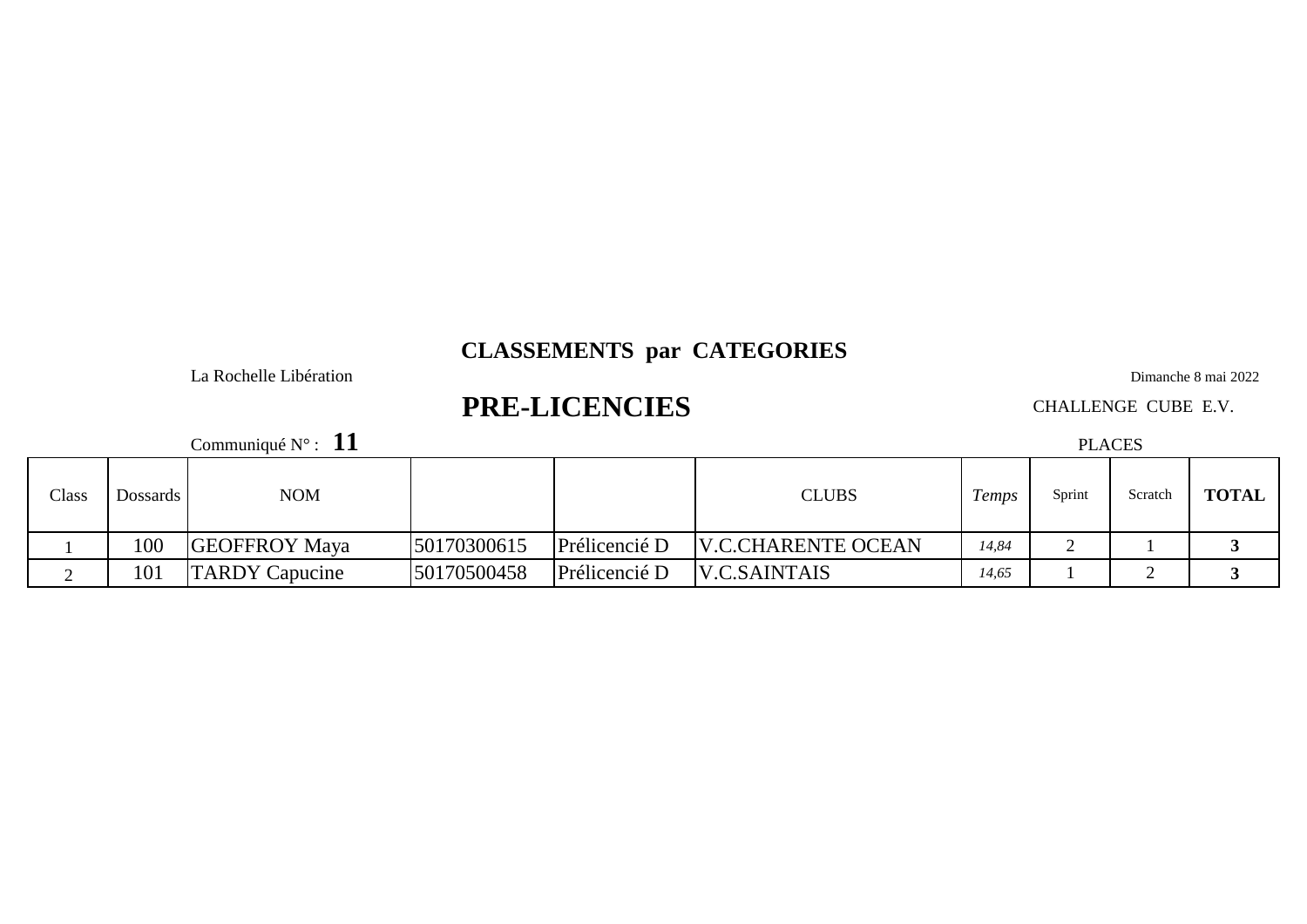La Rochelle Libération

# **PRE-LICENCIES**

Communiqué N° : **11**

Dimanche 8 mai 2022

CHALLENGE CUBE E.V.

PLACES

| Class | Dossards | <b>NOM</b>            |             |               | <b>CLUBS</b>              | I emps | Sprint | Scratch | <b>TOTAL</b> |
|-------|----------|-----------------------|-------------|---------------|---------------------------|--------|--------|---------|--------------|
|       | 100      | <b>GEOFFROY Maya</b>  | 50170300615 | Prélicencié D | <b>V.C.CHARENTE OCEAN</b> | 14,84  |        |         |              |
|       | 101      | <b>TARDY</b> Capucine | 50170500458 | Prélicencié D | <b>V.C.SAINTAIS</b>       | 14,65  |        |         |              |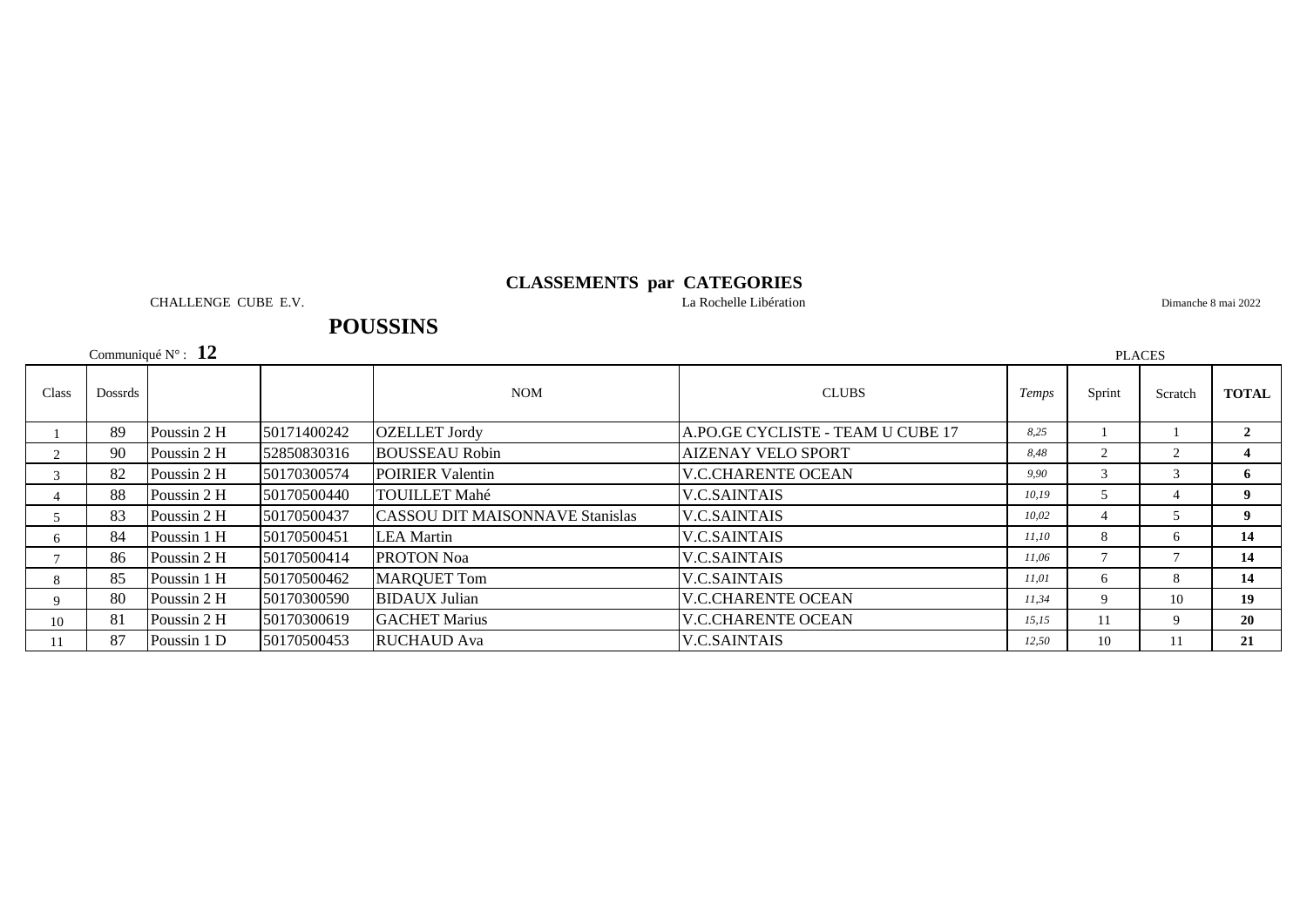CHALLENGE CUBE E.V. La Rochelle Libération

Dimanche 8 mai 2022

# **POUSSINS**

Communiqué N° : **12**

|       | Communiqué $N^{\circ}$ : 12<br><b>PLACES</b> |             |             |                                                           |                                   |        |                |         |                 |  |
|-------|----------------------------------------------|-------------|-------------|-----------------------------------------------------------|-----------------------------------|--------|----------------|---------|-----------------|--|
| Class | Dossrds                                      |             |             | <b>NOM</b><br><b>CLUBS</b>                                |                                   | Temps  | Sprint         | Scratch | <b>TOTAL</b>    |  |
|       | 89                                           | Poussin 2 H | 50171400242 | A.PO.GE CYCLISTE - TEAM U CUBE 17<br><b>OZELLET</b> Jordy |                                   | 8.25   |                |         |                 |  |
| 2     | 90                                           | Poussin 2 H | 52850830316 | <b>BOUSSEAU Robin</b>                                     | <b>AIZENAY VELO SPORT</b><br>8.48 |        | $\overline{2}$ |         |                 |  |
| 3     | 82                                           | Poussin 2 H | 50170300574 | <b>POIRIER</b> Valentin                                   | <b>V.C.CHARENTE OCEAN</b>         | 9.90   | $\mathcal{R}$  |         | 6               |  |
|       | 88                                           | Poussin 2 H | 50170500440 | <b>TOUILLET Mahé</b>                                      | <b>V.C.SAINTAIS</b>               | 10, 19 | 5              |         | 9               |  |
| 5     | 83                                           | Poussin 2 H | 50170500437 | <b>CASSOU DIT MAISONNAVE Stanislas</b>                    | <b>V.C.SAINTAIS</b>               | 10.02  | 4              |         | 9               |  |
| 6     | 84                                           | Poussin 1 H | 50170500451 | <b>LEA</b> Martin                                         | <b>V.C.SAINTAIS</b>               | 11,10  | 8              | 6.      | 14              |  |
|       | 86                                           | Poussin 2 H | 50170500414 | <b>PROTON Noa</b>                                         | <b>V.C.SAINTAIS</b>               | 11,06  |                |         | 14              |  |
| 8     | 85                                           | Poussin 1 H | 50170500462 | <b>MARQUET Tom</b>                                        | <b>V.C.SAINTAIS</b>               | 11,01  | 6              |         | 14              |  |
| 9     | 80                                           | Poussin 2 H | 50170300590 | <b>BIDAUX Julian</b>                                      | <b>V.C.CHARENTE OCEAN</b>         | 11,34  | 9              | 10      | 19 <sup>°</sup> |  |
| 10    | 81                                           | Poussin 2 H | 50170300619 | <b>GACHET Marius</b>                                      | <b>V.C.CHARENTE OCEAN</b>         | 15.15  | 11             |         | 20              |  |
| 11    | 87                                           | Poussin 1 D | 50170500453 | <b>RUCHAUD</b> Ava                                        | <b>V.C.SAINTAIS</b>               | 12,50  | 10             | 11      | 21              |  |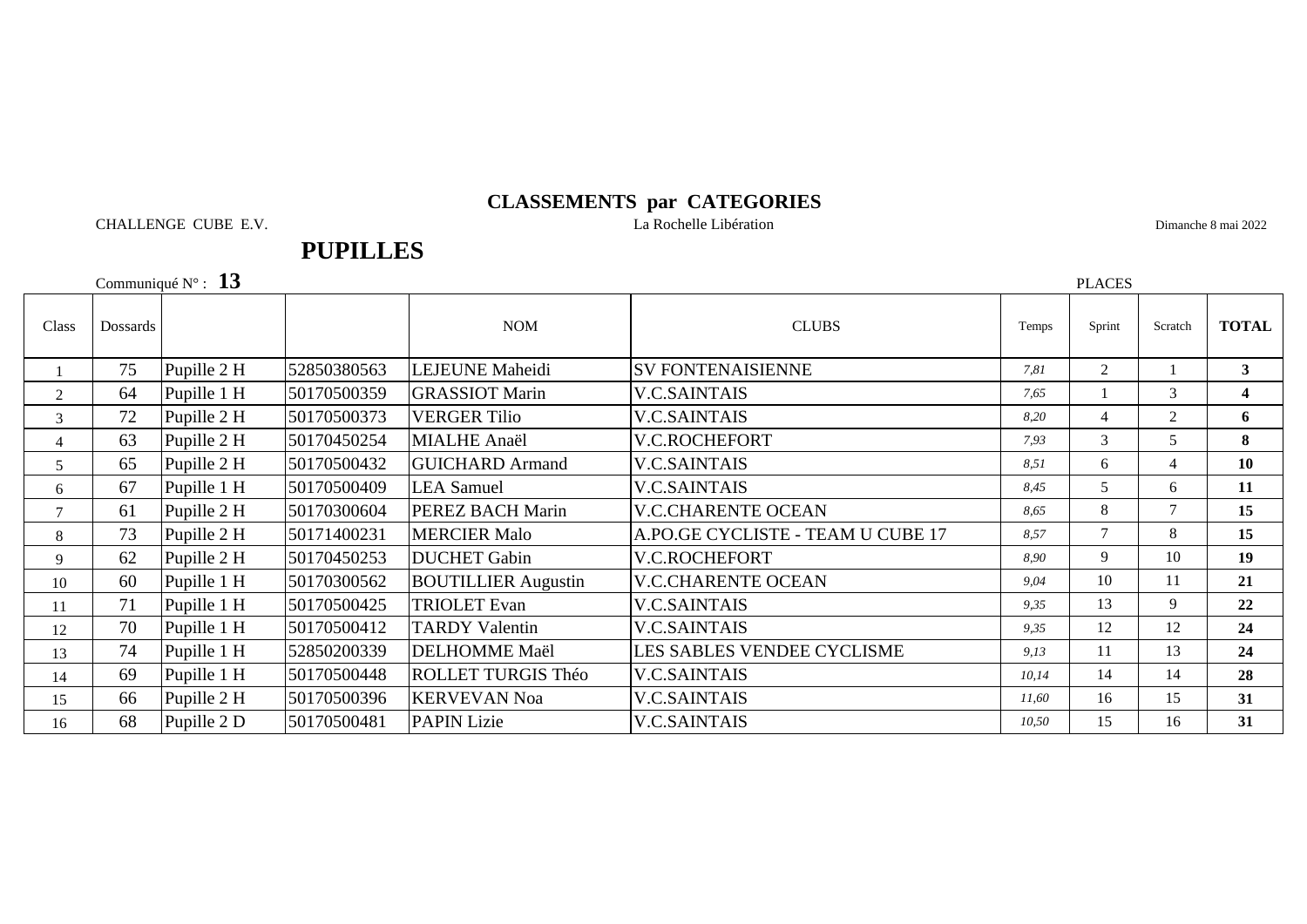CHALLENGE CUBE E.V. La Rochelle Libération

**PUPILLES**

Dimanche 8 mai 2022

Communiqué N° : **13**

|                | Communiqué $N^{\circ}$ : 13<br><b>PLACES</b> |             |             |                            |                                   |       |                |                |                         |
|----------------|----------------------------------------------|-------------|-------------|----------------------------|-----------------------------------|-------|----------------|----------------|-------------------------|
| Class          | Dossards                                     |             |             | <b>NOM</b>                 | <b>CLUBS</b>                      | Temps | Sprint         | Scratch        | <b>TOTAL</b>            |
|                | 75                                           | Pupille 2 H | 52850380563 | <b>LEJEUNE</b> Maheidi     | <b>SV FONTENAISIENNE</b>          | 7,81  | $\overline{2}$ |                | $\mathbf{3}$            |
| 2              | 64                                           | Pupille 1 H | 50170500359 | <b>GRASSIOT Marin</b>      | <b>V.C.SAINTAIS</b>               | 7,65  |                | 3              | $\overline{\mathbf{4}}$ |
| 3              | 72                                           | Pupille 2 H | 50170500373 | <b>VERGER Tilio</b>        | <b>V.C.SAINTAIS</b>               | 8,20  | 4              | 2              | 6                       |
| $\overline{4}$ | 63                                           | Pupille 2 H | 50170450254 | <b>MIALHE</b> Anaël        | V.C.ROCHEFORT                     | 7,93  | 3              | 5              | 8                       |
| 5              | 65                                           | Pupille 2 H | 50170500432 | <b>GUICHARD Armand</b>     | <b>V.C.SAINTAIS</b>               | 8,51  | 6              | $\overline{4}$ | 10                      |
| 6              | 67                                           | Pupille 1 H | 50170500409 | <b>LEA</b> Samuel          | <b>V.C.SAINTAIS</b>               | 8.45  | 5              | 6              | 11                      |
| $\tau$         | 61                                           | Pupille 2 H | 50170300604 | <b>PEREZ BACH Marin</b>    | <b>V.C.CHARENTE OCEAN</b>         | 8.65  | 8              | $\tau$         | 15                      |
| 8              | 73                                           | Pupille 2 H | 50171400231 | <b>MERCIER Malo</b>        | A.PO.GE CYCLISTE - TEAM U CUBE 17 | 8,57  | $\tau$         | 8              | 15                      |
| 9              | 62                                           | Pupille 2 H | 50170450253 | <b>DUCHET</b> Gabin        | V.C.ROCHEFORT                     | 8.90  | 9              | 10             | 19                      |
| 10             | 60                                           | Pupille 1 H | 50170300562 | <b>BOUTILLIER Augustin</b> | <b>V.C.CHARENTE OCEAN</b>         | 9,04  | 10             | 11             | 21                      |
| 11             | 71                                           | Pupille 1 H | 50170500425 | <b>TRIOLET Evan</b>        | <b>V.C.SAINTAIS</b>               | 9,35  | 13             | 9              | 22                      |
| 12             | 70                                           | Pupille 1 H | 50170500412 | <b>TARDY Valentin</b>      | <b>V.C.SAINTAIS</b>               | 9,35  | 12             | 12             | 24                      |
| 13             | 74                                           | Pupille 1 H | 52850200339 | <b>DELHOMME</b> Maël       | LES SABLES VENDEE CYCLISME        | 9,13  | 11             | 13             | 24                      |
| 14             | 69                                           | Pupille 1 H | 50170500448 | <b>ROLLET TURGIS Théo</b>  | <b>V.C.SAINTAIS</b>               | 10,14 | 14             | 14             | 28                      |
| 15             | 66                                           | Pupille 2 H | 50170500396 | <b>KERVEVAN Noa</b>        | <b>V.C.SAINTAIS</b>               | 11,60 | 16             | 15             | 31                      |
| 16             | 68                                           | Pupille 2 D | 50170500481 | <b>PAPIN Lizie</b>         | <b>V.C.SAINTAIS</b>               | 10,50 | 15             | 16             | 31                      |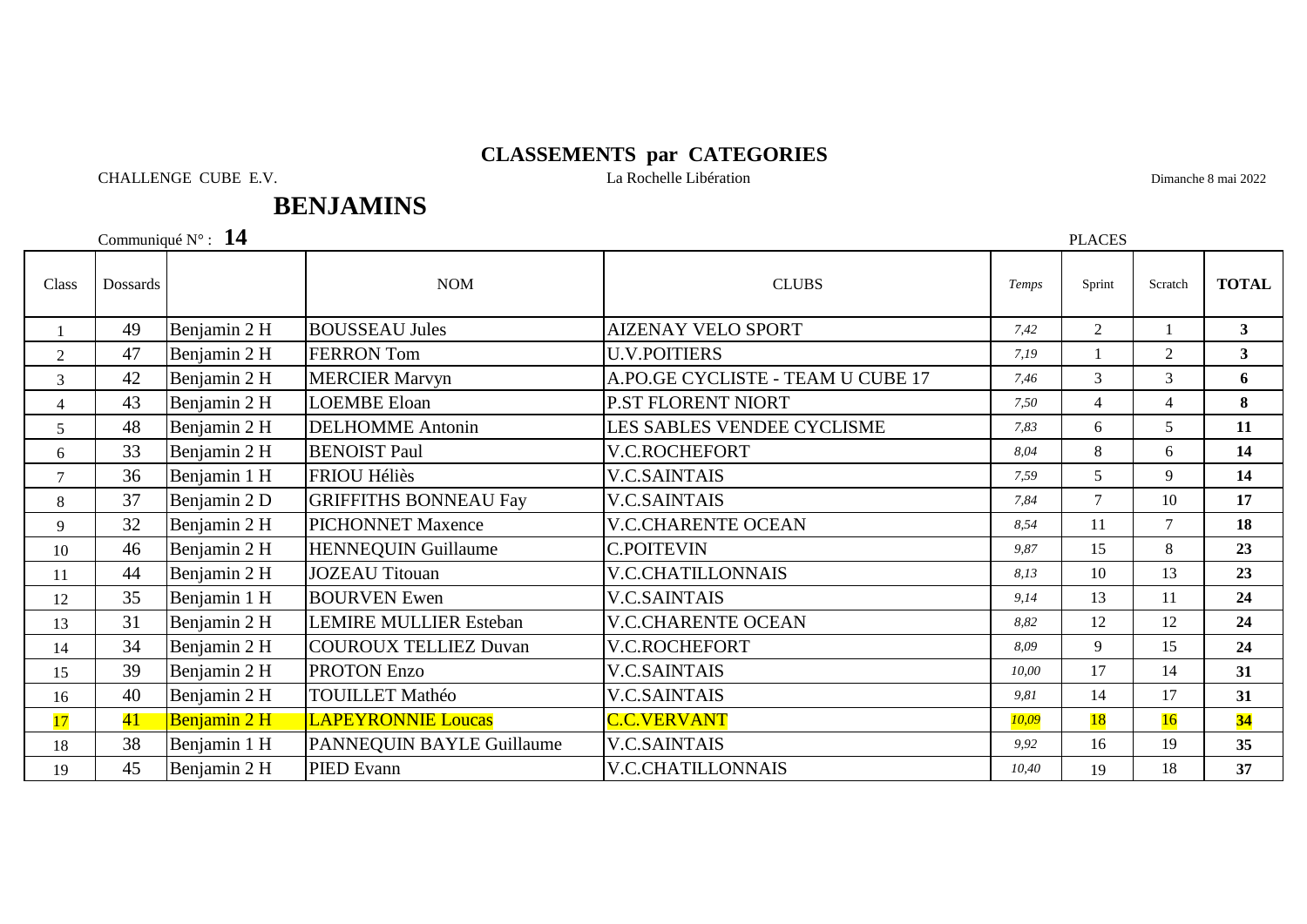CHALLENGE CUBE E.V. La Rochelle Libération

Dimanche 8 mai 2022

# **BENJAMINS**

Communiqué N° : **14**

| Class          | Dossards |              | <b>NOM</b>                    | <b>CLUBS</b>                      | Temps | Sprint         | Scratch        | <b>TOTAL</b>   |
|----------------|----------|--------------|-------------------------------|-----------------------------------|-------|----------------|----------------|----------------|
|                | 49       | Benjamin 2 H | <b>BOUSSEAU Jules</b>         | <b>AIZENAY VELO SPORT</b>         | 7.42  | $\overline{2}$ |                | 3 <sup>1</sup> |
| $\overline{2}$ | 47       | Benjamin 2 H | <b>FERRON</b> Tom             | <b>U.V.POITIERS</b>               | 7,19  |                | $\overline{2}$ | 3 <sup>1</sup> |
| 3              | 42       | Benjamin 2 H | <b>MERCIER Marvyn</b>         | A.PO.GE CYCLISTE - TEAM U CUBE 17 | 7.46  | 3              | 3              | 6              |
| $\overline{4}$ | 43       | Benjamin 2 H | <b>LOEMBE Eloan</b>           | <b>P.ST FLORENT NIORT</b>         | 7,50  | $\overline{4}$ | $\overline{4}$ | 8              |
| 5              | 48       | Benjamin 2 H | <b>DELHOMME</b> Antonin       | LES SABLES VENDEE CYCLISME        | 7.83  | 6              | 5              | 11             |
| 6              | 33       | Benjamin 2 H | <b>BENOIST Paul</b>           | V.C.ROCHEFORT                     | 8.04  | 8              | 6              | 14             |
| 7              | 36       | Benjamin 1 H | <b>FRIOU Héliès</b>           | <b>V.C.SAINTAIS</b>               | 7,59  | 5              | 9              | 14             |
| 8              | 37       | Benjamin 2 D | <b>GRIFFITHS BONNEAU Fay</b>  | <b>V.C.SAINTAIS</b>               | 7.84  | $\tau$         | 10             | 17             |
| 9              | 32       | Benjamin 2 H | <b>PICHONNET Maxence</b>      | <b>V.C.CHARENTE OCEAN</b>         | 8,54  | 11             | $\tau$         | 18             |
| 10             | 46       | Benjamin 2 H | <b>HENNEQUIN Guillaume</b>    | <b>C.POITEVIN</b>                 | 9,87  | 15             | 8              | 23             |
| 11             | 44       | Benjamin 2 H | <b>JOZEAU Titouan</b>         | <b>V.C.CHATILLONNAIS</b>          | 8,13  | 10             | 13             | 23             |
| 12             | 35       | Benjamin 1 H | <b>BOURVEN</b> Ewen           | <b>V.C.SAINTAIS</b>               | 9.14  | 13             | 11             | 24             |
| 13             | 31       | Benjamin 2 H | <b>LEMIRE MULLIER Esteban</b> | <b>V.C.CHARENTE OCEAN</b>         | 8.82  | 12             | 12             | 24             |
| 14             | 34       | Benjamin 2 H | <b>COUROUX TELLIEZ Duvan</b>  | V.C.ROCHEFORT                     | 8.09  | 9              | 15             | 24             |
| 15             | 39       | Benjamin 2 H | <b>PROTON Enzo</b>            | <b>V.C.SAINTAIS</b>               | 10.00 | 17             | 14             | 31             |
| 16             | 40       | Benjamin 2 H | <b>TOUILLET Mathéo</b>        | <b>V.C.SAINTAIS</b>               | 9,81  | 14             | 17             | 31             |
| 17             | 41       | Benjamin 2 H | <b>LAPEYRONNIE Loucas</b>     | <b>C.C.VERVANT</b>                | 10,09 | <b>18</b>      | 16             | 34             |
| 18             | 38       | Benjamin 1 H | PANNEQUIN BAYLE Guillaume     | <b>V.C.SAINTAIS</b>               | 9,92  | 16             | 19             | 35             |
| 19             | 45       | Benjamin 2 H | PIED Evann                    | <b>V.C.CHATILLONNAIS</b>          | 10,40 | 19             | 18             | 37             |

PLACES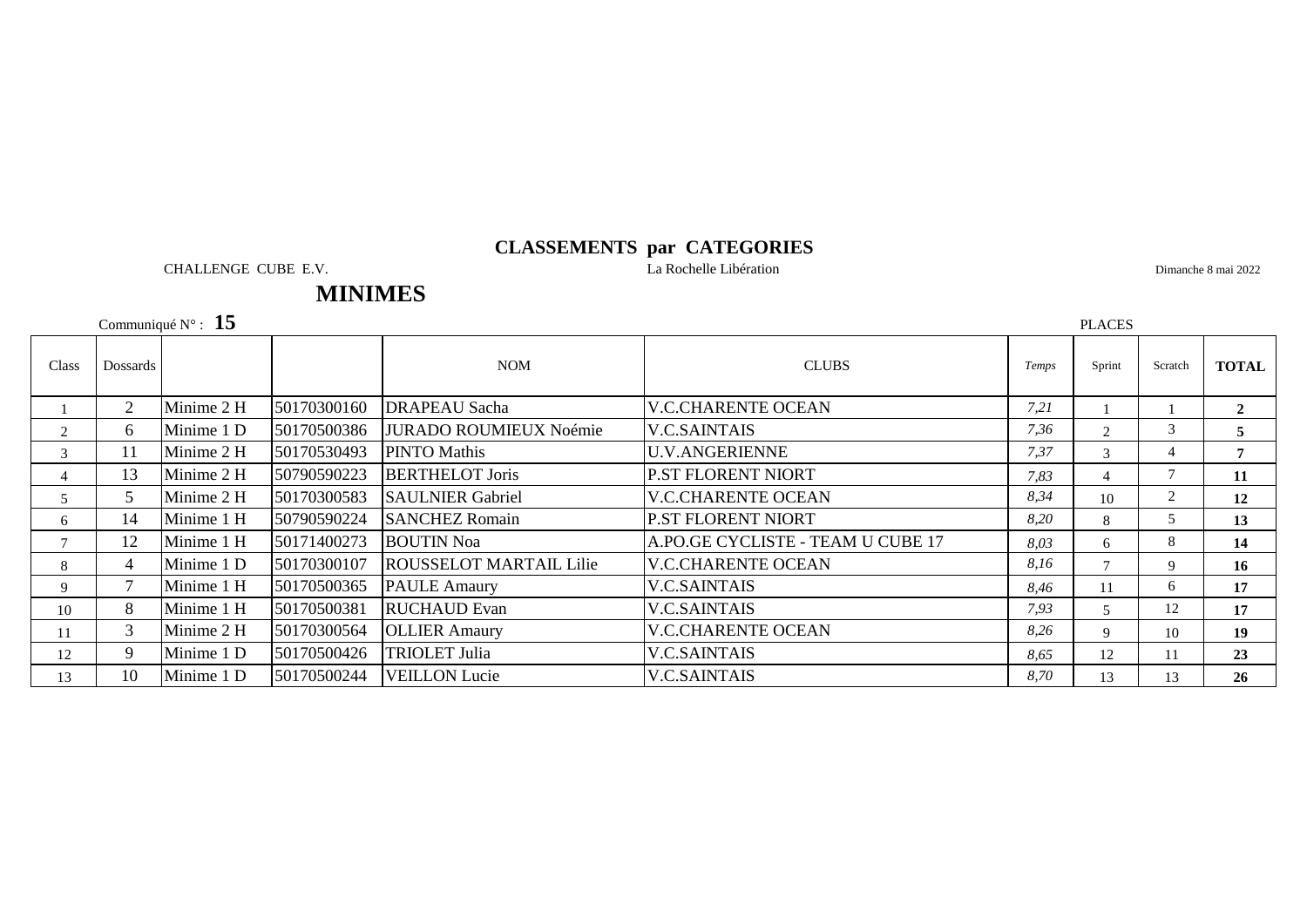CHALLENGE CUBE E.V. La Rochelle Libération

Dimanche 8 mai 2022

# **MINIMES**

Communiqué N° : **15**

|                | Communiqué $N^{\circ}$ : 15<br><b>PLACES</b> |            |             |                                |                                   |       |                |         |              |
|----------------|----------------------------------------------|------------|-------------|--------------------------------|-----------------------------------|-------|----------------|---------|--------------|
| Class          | Dossards                                     |            |             | <b>NOM</b>                     | <b>CLUBS</b>                      | Temps | Sprint         | Scratch | <b>TOTAL</b> |
|                | 2                                            | Minime 2 H | 50170300160 | <b>DRAPEAU</b> Sacha           | <b>V.C.CHARENTE OCEAN</b>         | 7,21  |                |         | $\mathbf{2}$ |
| 2              | 6                                            | Minime 1 D | 50170500386 | JURADO ROUMIEUX Noémie         | <b>V.C.SAINTAIS</b>               | 7,36  | $2^{\circ}$    | 3       | 5            |
| 3              | 11                                           | Minime 2 H | 50170530493 | PINTO Mathis                   | <b>U.V.ANGERIENNE</b>             | 7,37  | $\mathcal{F}$  |         |              |
| $\overline{4}$ | 13                                           | Minime 2 H | 50790590223 | <b>BERTHELOT Joris</b>         | <b>P.ST FLORENT NIORT</b>         | 7,83  | $\overline{4}$ |         | 11           |
| 5              | 5                                            | Minime 2 H | 50170300583 | <b>SAULNIER Gabriel</b>        | <b>V.C.CHARENTE OCEAN</b>         | 8,34  | 10             |         | 12           |
| 6              | 14                                           | Minime 1 H | 50790590224 | <b>SANCHEZ Romain</b>          | <b>P.ST FLORENT NIORT</b>         | 8,20  | 8              |         | 13           |
| $\tau$         | 12                                           | Minime 1 H | 50171400273 | <b>BOUTIN Noa</b>              | A.PO.GE CYCLISTE - TEAM U CUBE 17 | 8,03  | 6              | 8       | 14           |
| 8              | $\overline{4}$                               | Minime 1 D | 50170300107 | <b>ROUSSELOT MARTAIL Lilie</b> | <b>V.C.CHARENTE OCEAN</b>         | 8,16  |                | 9       | 16           |
| 9              | $\tau$                                       | Minime 1 H | 50170500365 | <b>PAULE Amaury</b>            | <b>V.C.SAINTAIS</b>               | 8.46  | 11             | 6.      | 17           |
| 10             | 8                                            | Minime 1 H | 50170500381 | RUCHAUD Evan                   | <b>V.C.SAINTAIS</b>               | 7,93  |                | 12      | 17           |
| 11             | 3                                            | Minime 2 H | 50170300564 | <b>OLLIER Amaury</b>           | <b>V.C.CHARENTE OCEAN</b>         | 8,26  | 9              | 10      | 19           |
| 12             | 9                                            | Minime 1 D | 50170500426 | <b>TRIOLET Julia</b>           | <b>V.C.SAINTAIS</b>               | 8,65  | 12             |         | 23           |
| 13             | 10                                           | Minime 1 D | 50170500244 | <b>VEILLON Lucie</b>           | <b>V.C.SAINTAIS</b>               | 8,70  | 13             | 13      | 26           |